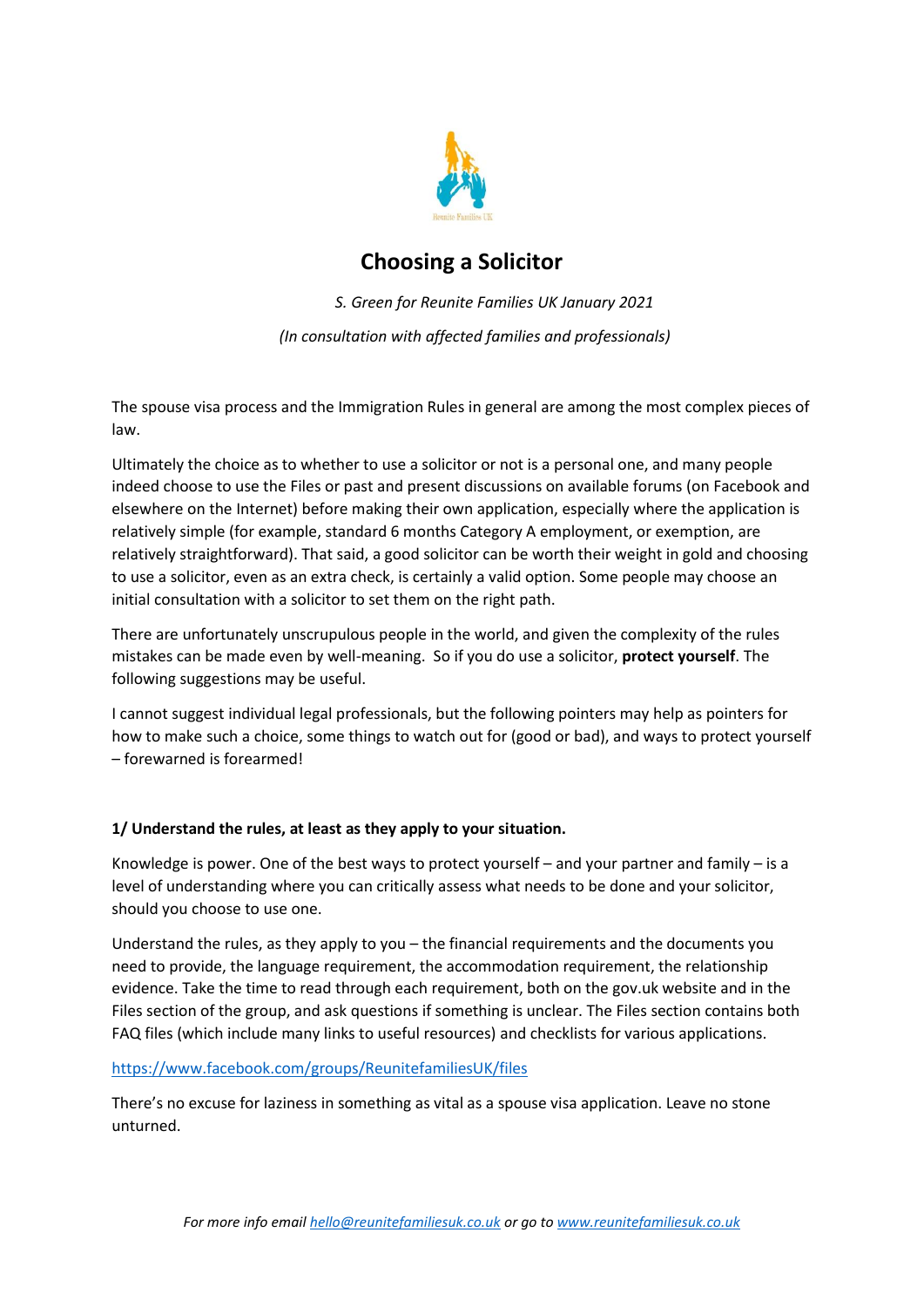

# **Choosing a Solicitor**

*S. Green for Reunite Families UK January 2021 (In consultation with affected families and professionals)*

The spouse visa process and the Immigration Rules in general are among the most complex pieces of law.

Ultimately the choice as to whether to use a solicitor or not is a personal one, and many people indeed choose to use the Files or past and present discussions on available forums (on Facebook and elsewhere on the Internet) before making their own application, especially where the application is relatively simple (for example, standard 6 months Category A employment, or exemption, are relatively straightforward). That said, a good solicitor can be worth their weight in gold and choosing to use a solicitor, even as an extra check, is certainly a valid option. Some people may choose an initial consultation with a solicitor to set them on the right path.

There are unfortunately unscrupulous people in the world, and given the complexity of the rules mistakes can be made even by well-meaning. So if you do use a solicitor, **protect yourself**. The following suggestions may be useful.

I cannot suggest individual legal professionals, but the following pointers may help as pointers for how to make such a choice, some things to watch out for (good or bad), and ways to protect yourself – forewarned is forearmed!

# **1/ Understand the rules, at least as they apply to your situation.**

Knowledge is power. One of the best ways to protect yourself – and your partner and family – is a level of understanding where you can critically assess what needs to be done and your solicitor, should you choose to use one.

Understand the rules, as they apply to you – the financial requirements and the documents you need to provide, the language requirement, the accommodation requirement, the relationship evidence. Take the time to read through each requirement, both on the gov.uk website and in the Files section of the group, and ask questions if something is unclear. The Files section contains both FAQ files (which include many links to useful resources) and checklists for various applications.

## <https://www.facebook.com/groups/ReunitefamiliesUK/files>

There's no excuse for laziness in something as vital as a spouse visa application. Leave no stone unturned.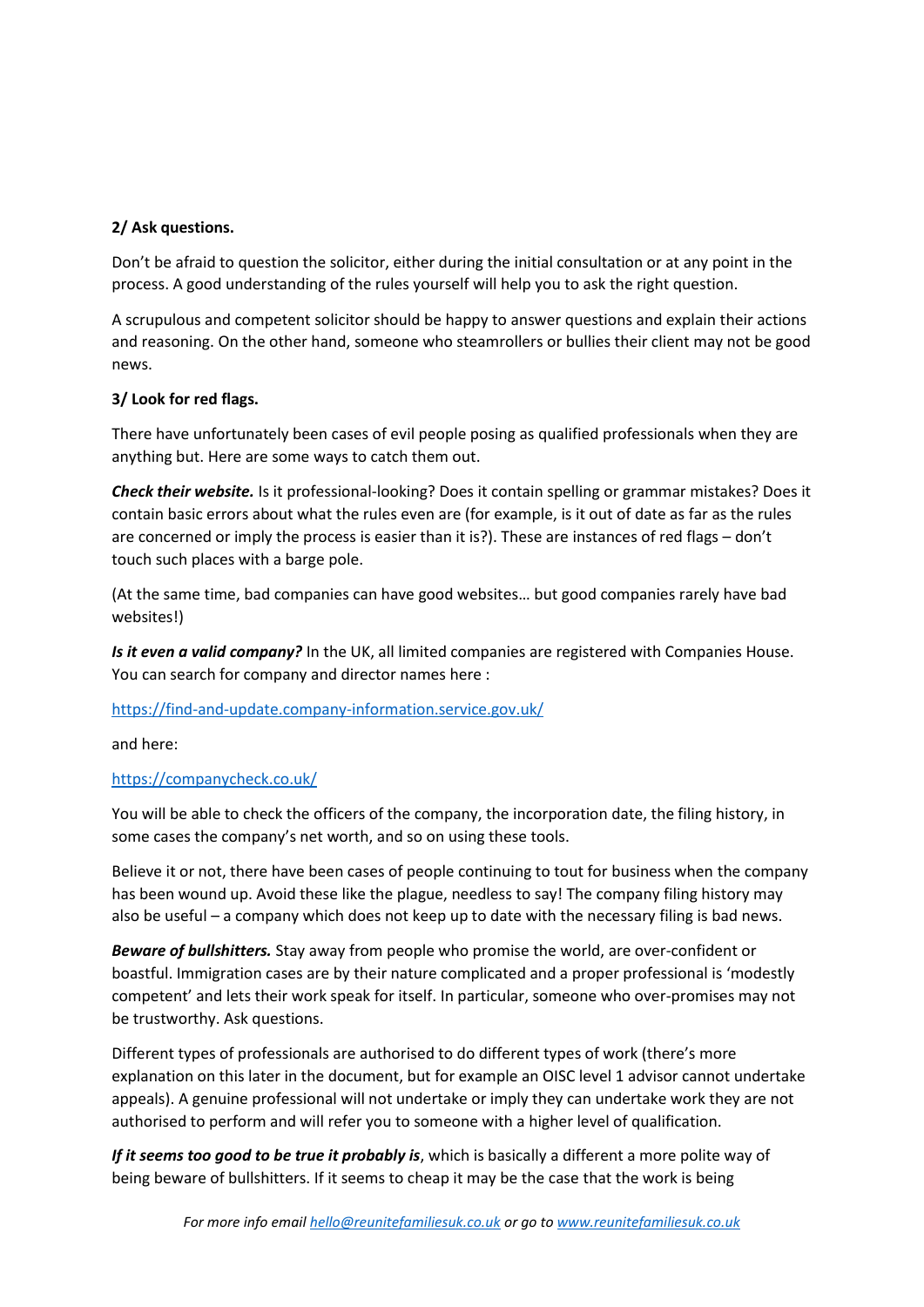# **2/ Ask questions.**

Don't be afraid to question the solicitor, either during the initial consultation or at any point in the process. A good understanding of the rules yourself will help you to ask the right question.

A scrupulous and competent solicitor should be happy to answer questions and explain their actions and reasoning. On the other hand, someone who steamrollers or bullies their client may not be good news.

## **3/ Look for red flags.**

There have unfortunately been cases of evil people posing as qualified professionals when they are anything but. Here are some ways to catch them out.

*Check their website.* Is it professional-looking? Does it contain spelling or grammar mistakes? Does it contain basic errors about what the rules even are (for example, is it out of date as far as the rules are concerned or imply the process is easier than it is?). These are instances of red flags – don't touch such places with a barge pole.

(At the same time, bad companies can have good websites… but good companies rarely have bad websites!)

Is it even a valid company? In the UK, all limited companies are registered with Companies House. You can search for company and director names here :

<https://find-and-update.company-information.service.gov.uk/>

and here:

## <https://companycheck.co.uk/>

You will be able to check the officers of the company, the incorporation date, the filing history, in some cases the company's net worth, and so on using these tools.

Believe it or not, there have been cases of people continuing to tout for business when the company has been wound up. Avoid these like the plague, needless to say! The company filing history may also be useful – a company which does not keep up to date with the necessary filing is bad news.

*Beware of bullshitters.* Stay away from people who promise the world, are over-confident or boastful. Immigration cases are by their nature complicated and a proper professional is 'modestly competent' and lets their work speak for itself. In particular, someone who over-promises may not be trustworthy. Ask questions.

Different types of professionals are authorised to do different types of work (there's more explanation on this later in the document, but for example an OISC level 1 advisor cannot undertake appeals). A genuine professional will not undertake or imply they can undertake work they are not authorised to perform and will refer you to someone with a higher level of qualification.

*If it seems too good to be true it probably is*, which is basically a different a more polite way of being beware of bullshitters. If it seems to cheap it may be the case that the work is being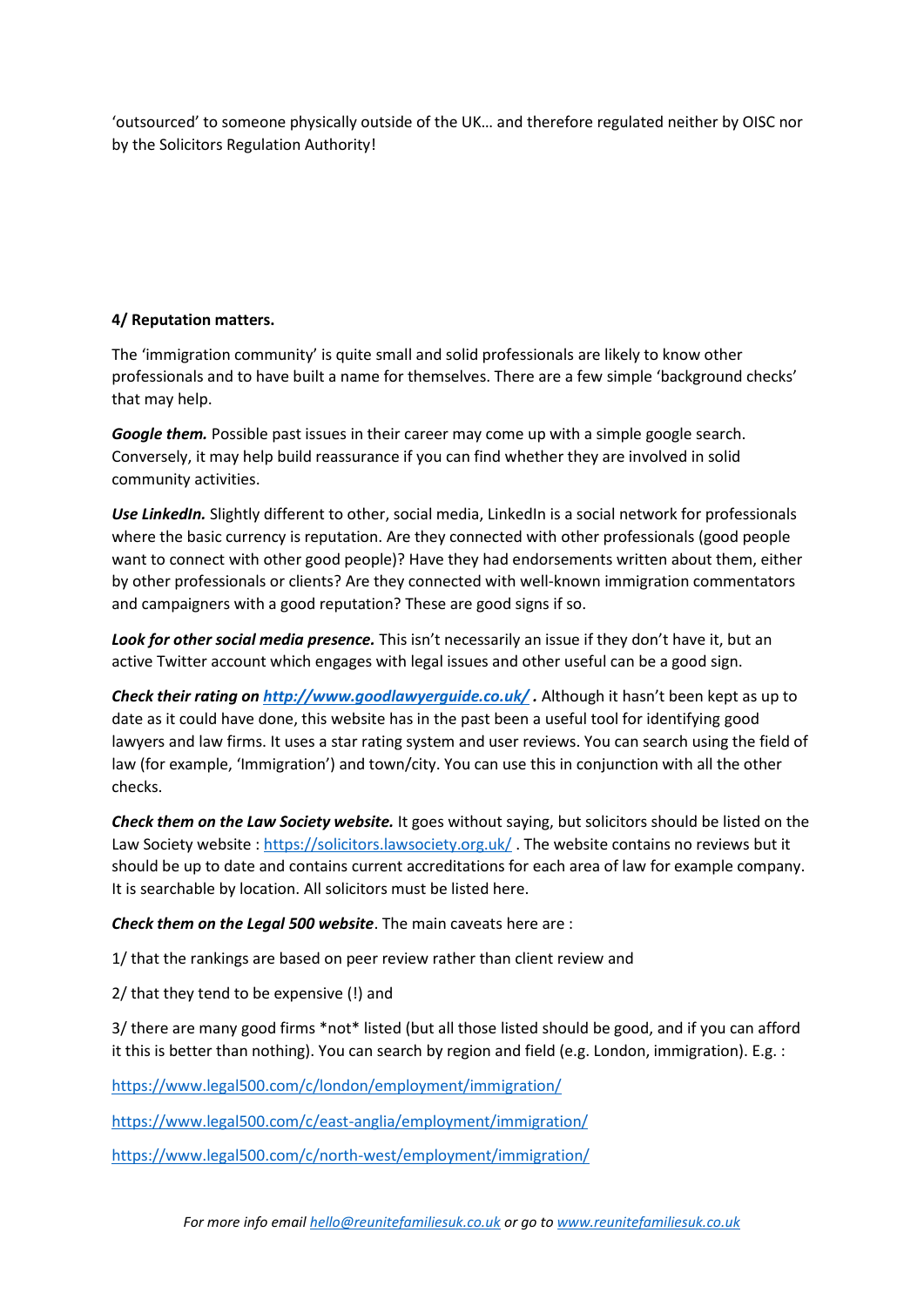'outsourced' to someone physically outside of the UK… and therefore regulated neither by OISC nor by the Solicitors Regulation Authority!

# **4/ Reputation matters.**

The 'immigration community' is quite small and solid professionals are likely to know other professionals and to have built a name for themselves. There are a few simple 'background checks' that may help.

*Google them.* Possible past issues in their career may come up with a simple google search. Conversely, it may help build reassurance if you can find whether they are involved in solid community activities.

*Use LinkedIn.* Slightly different to other, social media, LinkedIn is a social network for professionals where the basic currency is reputation. Are they connected with other professionals (good people want to connect with other good people)? Have they had endorsements written about them, either by other professionals or clients? Are they connected with well-known immigration commentators and campaigners with a good reputation? These are good signs if so.

Look for other social media presence. This isn't necessarily an issue if they don't have it, but an active Twitter account which engages with legal issues and other useful can be a good sign.

*Check their rating o[n http://www.goodlawyerguide.co.uk/](http://www.goodlawyerguide.co.uk/) .* Although it hasn't been kept as up to date as it could have done, this website has in the past been a useful tool for identifying good lawyers and law firms. It uses a star rating system and user reviews. You can search using the field of law (for example, 'Immigration') and town/city. You can use this in conjunction with all the other checks.

*Check them on the Law Society website.* It goes without saying, but solicitors should be listed on the Law Society website :<https://solicitors.lawsociety.org.uk/> . The website contains no reviews but it should be up to date and contains current accreditations for each area of law for example company. It is searchable by location. All solicitors must be listed here.

*Check them on the Legal 500 website*. The main caveats here are :

1/ that the rankings are based on peer review rather than client review and

2/ that they tend to be expensive (!) and

3/ there are many good firms \*not\* listed (but all those listed should be good, and if you can afford it this is better than nothing). You can search by region and field (e.g. London, immigration). E.g. :

<https://www.legal500.com/c/london/employment/immigration/>

<https://www.legal500.com/c/east-anglia/employment/immigration/>

<https://www.legal500.com/c/north-west/employment/immigration/>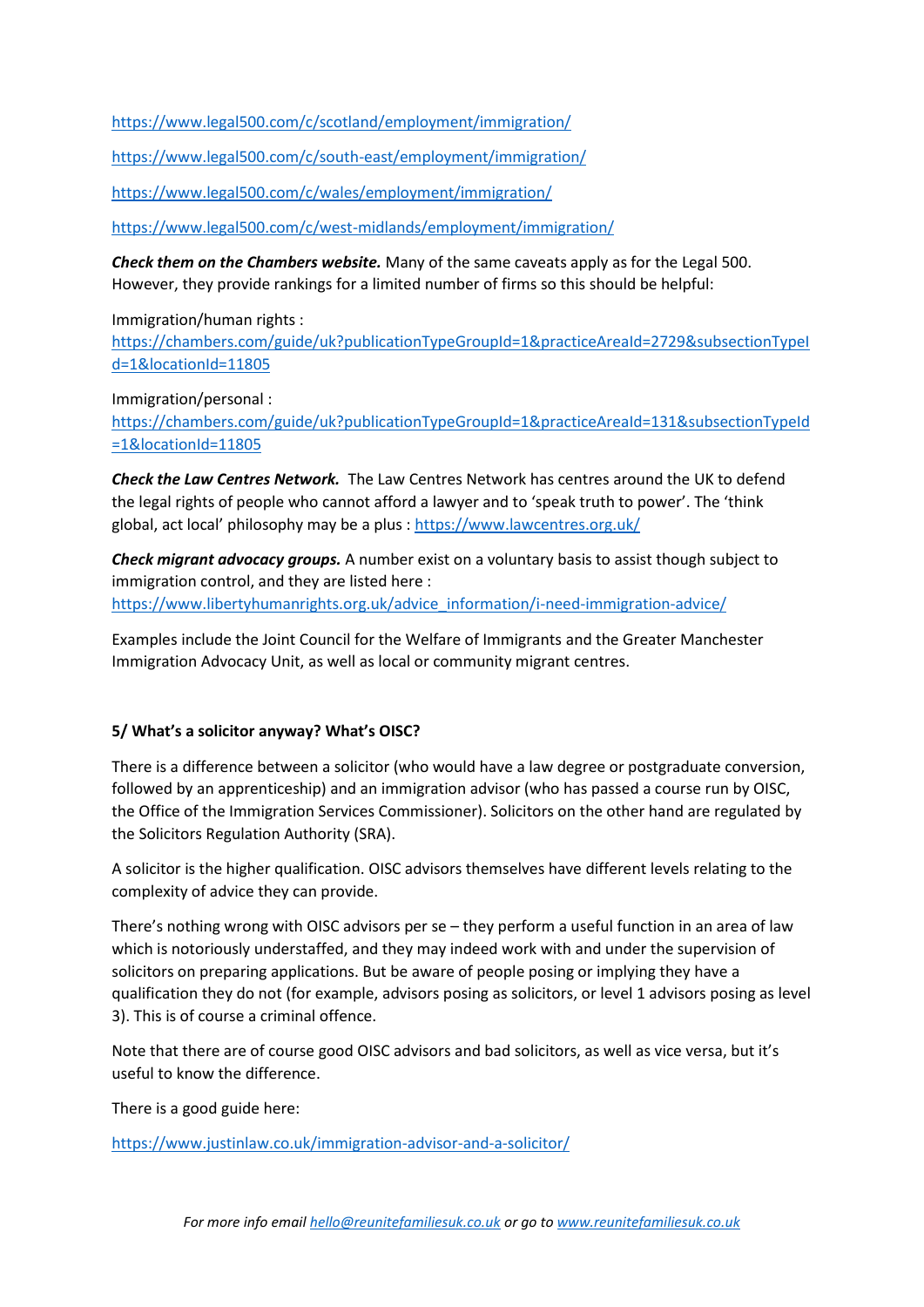<https://www.legal500.com/c/scotland/employment/immigration/>

<https://www.legal500.com/c/south-east/employment/immigration/>

<https://www.legal500.com/c/wales/employment/immigration/>

<https://www.legal500.com/c/west-midlands/employment/immigration/>

*Check them on the Chambers website.* Many of the same caveats apply as for the Legal 500. However, they provide rankings for a limited number of firms so this should be helpful:

Immigration/human rights :

[https://chambers.com/guide/uk?publicationTypeGroupId=1&practiceAreaId=2729&subsectionTypeI](https://chambers.com/guide/uk?publicationTypeGroupId=1&practiceAreaId=2729&subsectionTypeId=1&locationId=11805) [d=1&locationId=11805](https://chambers.com/guide/uk?publicationTypeGroupId=1&practiceAreaId=2729&subsectionTypeId=1&locationId=11805)

Immigration/personal :

[https://chambers.com/guide/uk?publicationTypeGroupId=1&practiceAreaId=131&subsectionTypeId](https://chambers.com/guide/uk?publicationTypeGroupId=1&practiceAreaId=131&subsectionTypeId=1&locationId=11805) [=1&locationId=11805](https://chambers.com/guide/uk?publicationTypeGroupId=1&practiceAreaId=131&subsectionTypeId=1&locationId=11805)

*Check the Law Centres Network.* The Law Centres Network has centres around the UK to defend the legal rights of people who cannot afford a lawyer and to 'speak truth to power'. The 'think global, act local' philosophy may be a plus : <https://www.lawcentres.org.uk/>

*Check migrant advocacy groups.* A number exist on a voluntary basis to assist though subject to immigration control, and they are listed here : [https://www.libertyhumanrights.org.uk/advice\\_information/i-need-immigration-advice/](https://www.libertyhumanrights.org.uk/advice_information/i-need-immigration-advice/)

Examples include the Joint Council for the Welfare of Immigrants and the Greater Manchester Immigration Advocacy Unit, as well as local or community migrant centres.

#### **5/ What's a solicitor anyway? What's OISC?**

There is a difference between a solicitor (who would have a law degree or postgraduate conversion, followed by an apprenticeship) and an immigration advisor (who has passed a course run by OISC, the Office of the Immigration Services Commissioner). Solicitors on the other hand are regulated by the Solicitors Regulation Authority (SRA).

A solicitor is the higher qualification. OISC advisors themselves have different levels relating to the complexity of advice they can provide.

There's nothing wrong with OISC advisors per se – they perform a useful function in an area of law which is notoriously understaffed, and they may indeed work with and under the supervision of solicitors on preparing applications. But be aware of people posing or implying they have a qualification they do not (for example, advisors posing as solicitors, or level 1 advisors posing as level 3). This is of course a criminal offence.

Note that there are of course good OISC advisors and bad solicitors, as well as vice versa, but it's useful to know the difference.

There is a good guide here:

<https://www.justinlaw.co.uk/immigration-advisor-and-a-solicitor/>